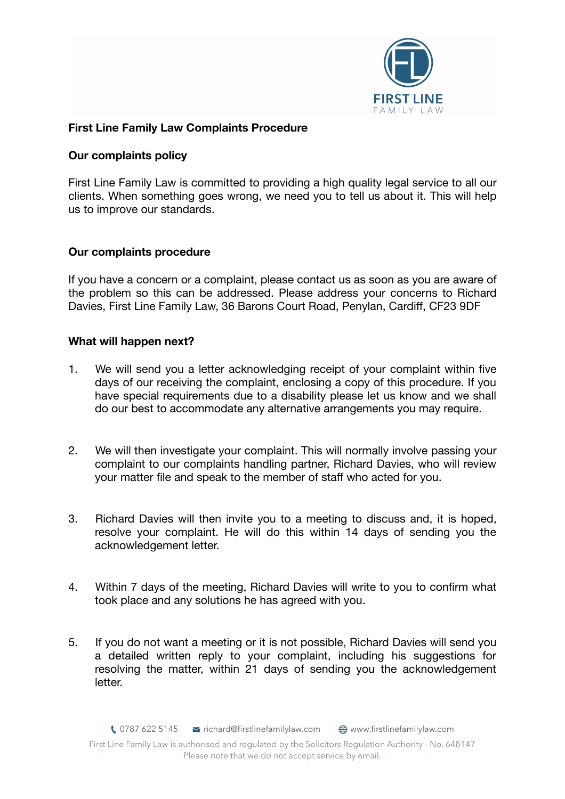

# **First Line Family Law Complaints Procedure**

## **Our complaints policy**

First Line Family Law is committed to providing a high quality legal service to all our clients. When something goes wrong, we need you to tell us about it. This will help us to improve our standards.

### **Our complaints procedure**

If you have a concern or a complaint, please contact us as soon as you are aware of the problem so this can be addressed. Please address your concerns to Richard Davies, First Line Family Law, 36 Barons Court Road, Penylan, Cardiff, CF23 9DF

### **What will happen next?**

- 1. We will send you a letter acknowledging receipt of your complaint within five days of our receiving the complaint, enclosing a copy of this procedure. If you have special requirements due to a disability please let us know and we shall do our best to accommodate any alternative arrangements you may require.
- 2. We will then investigate your complaint. This will normally involve passing your complaint to our complaints handling partner, Richard Davies, who will review your matter file and speak to the member of staff who acted for you.
- 3. Richard Davies will then invite you to a meeting to discuss and, it is hoped, resolve your complaint. He will do this within 14 days of sending you the acknowledgement letter.
- 4. Within 7 days of the meeting, Richard Davies will write to you to confirm what took place and any solutions he has agreed with you.
- 5. If you do not want a meeting or it is not possible, Richard Davies will send you a detailed written reply to your complaint, including his suggestions for resolving the matter, within 21 days of sending you the acknowledgement letter.